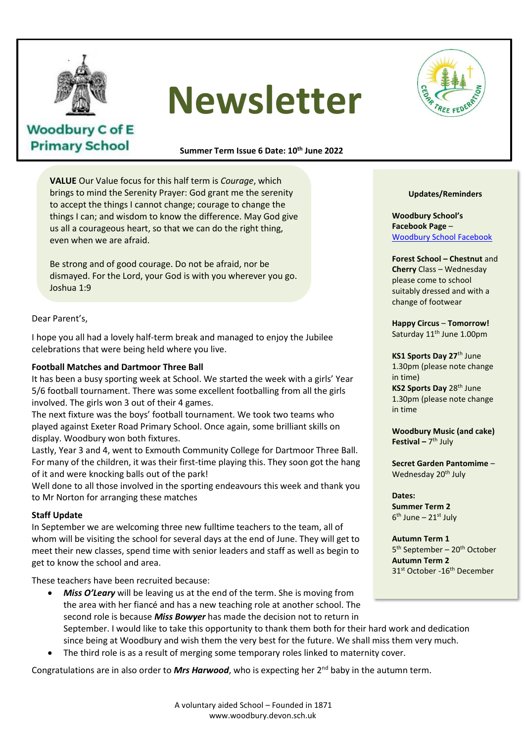

**Woodbury C of E Primary School** 

# **Newsletter**

**Summer Term Issue 6 Date: 10th June 2022**

**VALUE** Our Value focus for this half term is *Courage*, which brings to mind the Serenity Prayer: God grant me the serenity to accept the things I cannot change; courage to change the things I can; and wisdom to know the difference. May God give us all a courageous heart, so that we can do the right thing, even when we are afraid.

Be strong and of good courage. Do not be afraid, nor be dismayed. For the Lord, your God is with you wherever you go. Joshua 1:9

Dear Parent's,

I hope you all had a lovely half-term break and managed to enjoy the Jubilee celebrations that were being held where you live.

#### **Football Matches and Dartmoor Three Ball**

It has been a busy sporting week at School. We started the week with a girls' Year it has been a busy sporting week at School. We started the week with a girls "rea<br>5/6 football tournament. There was some excellent footballing from all the girls involved. The girls won 3 out of their 4 games.

mvoived. The gins won'ts out of their 4 games.<br>The next fixture was the boys' football tournament. We took two teams who played against Exeter Road Primary School. Once again, some brilliant skills on played against Exeter Road Frimary School. Once again, some t<br>display. Woodbury won both fixtures.

Lastly, Year 3 and 4, went to Exmouth Community College for Dartmoor Three Ball. For many of the children, it was their first-time playing this. They soon got the hang<br>of it and were knocking halls out of the narkl of it and were knocking balls out of the park!

Well done to all those involved in the sporting endeavours this week and thank you to Mr Norton for arranging these matches

#### **Staff Update**

In September we are welcoming three new fulltime teachers to the team, all of whom will be visiting the school for several days at the end of June. They will get to meet their new classes, spend time with senior leaders and staff as well as begin to get to know the school and area.

These teachers have been recruited because:

- *Miss O'Leary* will be leaving us at the end of the term. She is moving from the area with her fiancé and has a new teaching role at another school. The second role is because *Miss Bowyer* has made the decision not to return in September. I would like to take this opportunity to thank them both for their hard work and dedication since being at Woodbury and wish them the very best for the future. We shall miss them very much.
- The third role is as a result of merging some temporary roles linked to maternity cover.

Congratulations are in also order to *Mrs Harwood*, who is expecting her 2nd baby in the autumn term.



#### **Updates/Reminders**

**Woodbury School's Facebook Page** – Woodbury School Facebook

#### **Forest School – Chestnut** and **Cherry** Class – Wednesday please come to school suitably dressed and with a

**Happy Circus** – **Tomorrow!** Saturday 11<sup>th</sup> June 1.00pm

change of footwear

**KS1 Sports Day 27**th June 1.30pm (please note change in time) **KS2 Sports Day 28th June** 1.30pm (please note change in time

**Woodbury Music (and cake) Festival –** 7 th July

**Secret Garden Pantomime** – Wednesday 20<sup>th</sup> July

**Dates: Summer Term 2** 6<sup>th</sup> June – 21st July

**Autumn Term 1** 5<sup>th</sup> September – 20<sup>th</sup> October **Autumn Term 2** 31<sup>st</sup> October -16<sup>th</sup> December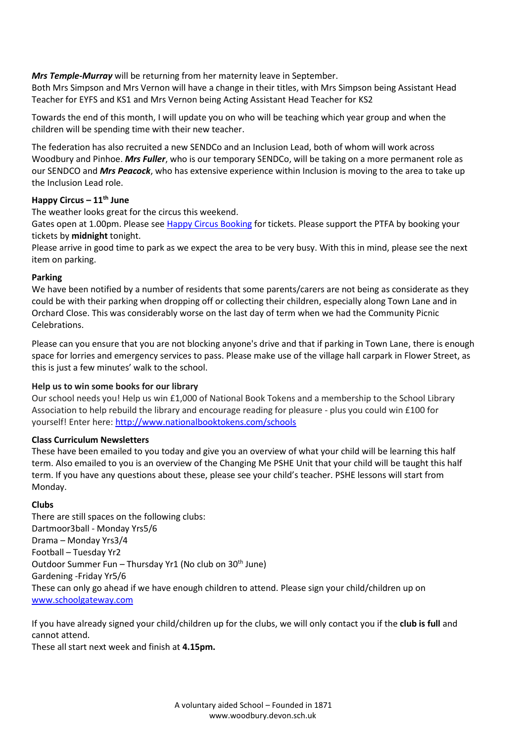*Mrs Temple-Murray* will be returning from her maternity leave in September.

Both Mrs Simpson and Mrs Vernon will have a change in their titles, with Mrs Simpson being Assistant Head Teacher for EYFS and KS1 and Mrs Vernon being Acting Assistant Head Teacher for KS2

Towards the end of this month, I will update you on who will be teaching which year group and when the children will be spending time with their new teacher.

The federation has also recruited a new SENDCo and an Inclusion Lead, both of whom will work across Woodbury and Pinhoe. *Mrs Fuller*, who is our temporary SENDCo, will be taking on a more permanent role as our SENDCO and *Mrs Peacock*, who has extensive experience within Inclusion is moving to the area to take up the Inclusion Lead role.

## **Happy Circus – 11th June**

The weather looks great for the circus this weekend.

Gates open at 1.00pm. Please see [Happy Circus Booking](https://www.pta-events.co.uk/woodburyprimaryschool/#.YoZMFHXMKUl) for tickets. Please support the PTFA by booking your tickets by **midnight** tonight.

Please arrive in good time to park as we expect the area to be very busy. With this in mind, please see the next item on parking.

#### **Parking**

We have been notified by a number of residents that some parents/carers are not being as considerate as they could be with their parking when dropping off or collecting their children, especially along Town Lane and in Orchard Close. This was considerably worse on the last day of term when we had the Community Picnic Celebrations.

Please can you ensure that you are not blocking anyone's drive and that if parking in Town Lane, there is enough space for lorries and emergency services to pass. Please make use of the village hall carpark in Flower Street, as this is just a few minutes' walk to the school.

#### **Help us to win some books for our library**

Our school needs you! Help us win £1,000 of National Book Tokens and a membership to the School Library Association to help rebuild the library and encourage reading for pleasure - plus you could win £100 for yourself! Enter here: <http://www.nationalbooktokens.com/schools>

#### **Class Curriculum Newsletters**

These have been emailed to you today and give you an overview of what your child will be learning this half term. Also emailed to you is an overview of the Changing Me PSHE Unit that your child will be taught this half term. If you have any questions about these, please see your child's teacher. PSHE lessons will start from Monday.

#### **Clubs**

There are still spaces on the following clubs: Dartmoor3ball - Monday Yrs5/6 Drama – Monday Yrs3/4 Football – Tuesday Yr2 Outdoor Summer Fun – Thursday Yr1 (No club on 30<sup>th</sup> June) Gardening -Friday Yr5/6 These can only go ahead if we have enough children to attend. Please sign your child/children up on [www.schoolgateway.com](http://www.schoolgateway.com/)

If you have already signed your child/children up for the clubs, we will only contact you if the **club is full** and cannot attend.

These all start next week and finish at **4.15pm.**